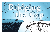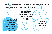**THERE IS A GAP BETWEEN SPIRITUAL LIFE AND SPIRITUAL DEATH! THERE IS A GAP BETWEEN SINFUL MAN AND A HOLY GOD! THERE IS A GAP BETWEEN THE CREATOR AND HIS CREATED CHILDREN!** *"FOR ALL HAVE SINNED AND* **FALL SHORT** *OF THE GLORY OF GOD." ROMANS 3:23 "IN HIM (CHRIST) IS NO SIN." 1JOHN 3:5*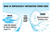# MAN IS HOPELESSLY SEPARATED FROM GOD!

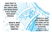**MAN TRIES TO BRIDGE THE GAP, BUT SINFUL MAN CAN NEVER REACH A HOLY GOD BY MAN-MADE BRIDGES.**

> MAN'S WAY CAN LEAD ONLY TO DEATH!

**"THERE IS A WAY THAT SEEMS RIGHT TO A MAN, BUT IN THE END IT LEADS TO DEATH." PROVERBS 16:25 (SEE ROMANS 3:10-12)**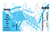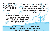## **BUT GOD HAS PROVIDED A WAY TO BRIDGE THE GAP…**

*"FOR GOD SO LOVED THE WORLD THAT HE GAVE HIS ONLY BEGOTTEN SON, THAT WHOEVER BELIEVES IN HIM SHALL NOT PERISH BUT HAVE ETERNAL LIFE." JOHN 3:16*

*"SALVATION IS FOUND IN NO ONE ELSE, FOR THERE IS NO OTHER NAME UNDER HEAVEN GIVEN TO MEN BY WHICH*

> *WE MUST BE SAVED." ACTS 4:12*

JESUS CHRIST IS GOD'S WAY! HE IS NOT A WAY BUT THE WAY... THE ONLY WAY TO GOD!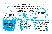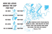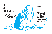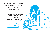*"IF ANYONE HEARS MY VOICE AND OPENS THE DOOR, I WILL COME IN…" REVELATION 3:20*

> *WILL YOU OPEN THE DOOR OF YOUR LIFE NOW?*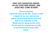*PRAY THIS SUGGESTED PRAYER, OR USE YOUR OWN WORDS, AND JESUS WILL COME IN NOW!*

*"Dear Lord Jesus, I open the door of my life. Come in now! I repent of my sins and receive you as my personal Savior and Lord, and as my only way to God. Thank you for dying on the cross for me and for coming into my life as you promised in your word. Amen."*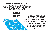#### **NOW THAT YOU HAVE ACCEPTED CHRIST AS YOUR SAVIOR, YOU WILL WANT TO GROW AND DEVELOP IN THE CHRISTIAN LIFE.**

# WHAT NOW?

### 1. READ THE BIBLE

**MAKE IT A DAILY HABIT. BEGIN WITH THE NEW TESTAMENT. MEDITATE ON WHAT YOU HAVE READ.** *"…HIS DELIGHT IS IN THE LAW* 

*OF THE LORD, AND ON HIS LAW HE MEDITATES DAY AND NIGHT."*

*PSALM 1:2*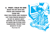#### 2. PRAY—TALK TO GOD **BEGIN THE DAY WITH GOD. PRAISE AND WORSHIP HIM. THANK HIM. PRAY FOR OTHERS AND YOURSELF. LIST YOUR PRAYER REQUESTS.** *"DO NOT BE ANXIOUS ABOUT ANYTHING, BUT IN EVERYTHING, BY PRAYER AND PETITION, WITH THANKSGIVING, PRESENT YOUR REQUESTS TO GOD." PHILIPPIANS 4:6*

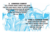3. CONFESS CHRIST **TELL OTHERS WHAT CHRIST HAS DONE FOR YOU AND INVITE THEM TO ACCEPT HIM.** *"WHOEVER ACKNOWLEDGES ME BEFORE MEN, I WILL ALSO ACKNOWLEDGE BEFORE MY FATHER IN HEAVEN." MATTHEW 10:32*

> **FIND A CHURCH HOME MAKE CHRISTIAN FRIENDS. GET INTO A WEEKLY BIBLE STUDY.** *"LET US NOT GIVE UP MEETING TOGETHER…" HEBREWS 10:25*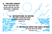APTIZED IN WATER *"WE WERE THEREFORE BURIED WITH HIM THROUGH BAPTISM…" ROMANS 6:4* D WITH THE HOLY SPI *"…BE FILLED WITH THE SPIRIT." EPHESIANS 5:18* 5. FOLLOW CHRIST **TRUST AND OBEY HIM.** *"IF YOU LOVE ME, YOU WILL OBEY WHAT I COMMAND." JOHN 14:15*